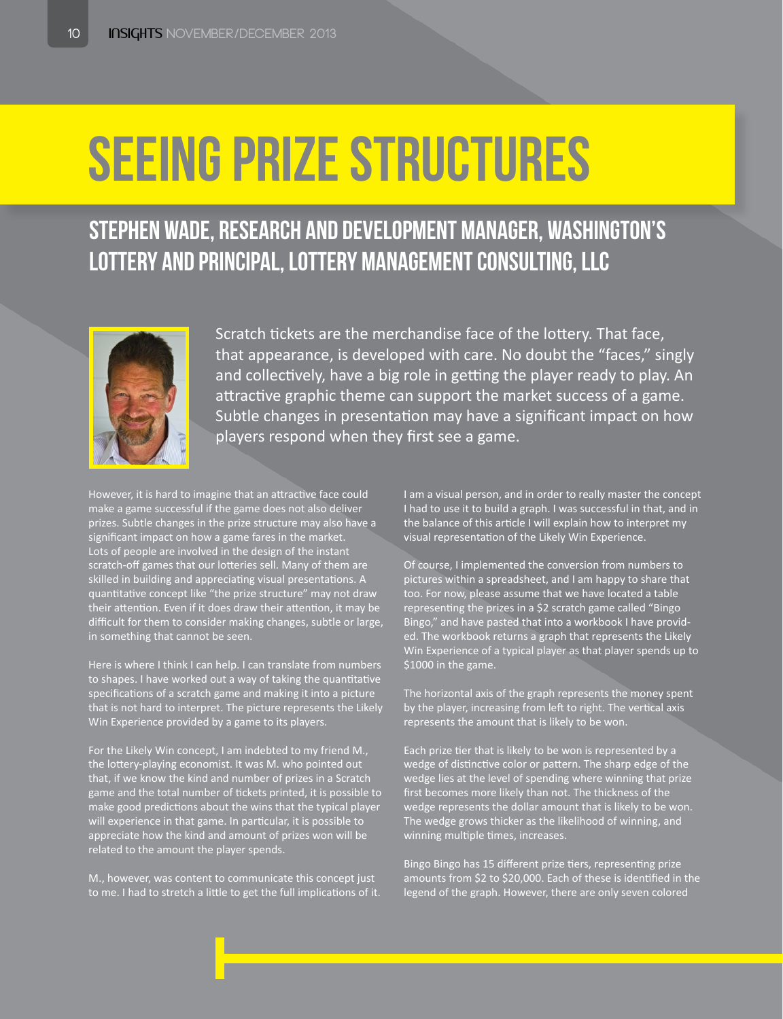# Seeing Prize Structures

## Stephen Wade, Research and Development Manager, Washington's Lottery and Principal, Lottery Management Consulting, LLC



Scratch tickets are the merchandise face of the lottery. That face, that appearance, is developed with care. No doubt the "faces," singly and collectively, have a big role in getting the player ready to play. An attractive graphic theme can support the market success of a game. Subtle changes in presentation may have a significant impact on how players respond when they first see a game.

However, it is hard to imagine that an attractive face could make a game successful if the game does not also deliver prizes. Subtle changes in the prize structure may also have a significant impact on how a game fares in the market. Lots of people are involved in the design of the instant scratch-off games that our lotteries sell. Many of them are skilled in building and appreciating visual presentations. A quantitative concept like "the prize structure" may not draw their attention. Even if it does draw their attention, it may be difficult for them to consider making changes, subtle or large, in something that cannot be seen.

Here is where I think I can help. I can translate from numbers to shapes. I have worked out a way of taking the quantitative specifications of a scratch game and making it into a picture that is not hard to interpret. The picture represents the Likely Win Experience provided by a game to its players.

For the Likely Win concept, I am indebted to my friend M., the lottery-playing economist. It was M. who pointed out that, if we know the kind and number of prizes in a Scratch game and the total number of tickets printed, it is possible to make good predictions about the wins that the typical player will experience in that game. In particular, it is possible to appreciate how the kind and amount of prizes won will be related to the amount the player spends.

M., however, was content to communicate this concept just to me. I had to stretch a little to get the full implications of it. I am a visual person, and in order to really master the concept I had to use it to build a graph. I was successful in that, and in the balance of this article I will explain how to interpret my visual representation of the Likely Win Experience.

Of course, I implemented the conversion from numbers to pictures within a spreadsheet, and I am happy to share that too. For now, please assume that we have located a table representing the prizes in a \$2 scratch game called "Bingo Bingo," and have pasted that into a workbook I have provided. The workbook returns a graph that represents the Likely In Experience of a typical player as that player spends up to \$1000 in the game.

The horizontal axis of the graph represents the money spent by the player, increasing from left to right. The vertical axis represents the amount that is likely to be won.

Each prize tier that is likely to be won is represented by a wedge of distinctive color or pattern. The sharp edge of the wedge lies at the level of spending where winning that prize first becomes more likely than not. The thickness of the wedge represents the dollar amount that is likely to be won. The wedge grows thicker as the likelihood of winning, and winning multiple times, increases.

Bingo Bingo has 15 different prize tiers, representing prize amounts from \$2 to \$20,000. Each of these is identified in the legend of the graph. However, there are only seven colored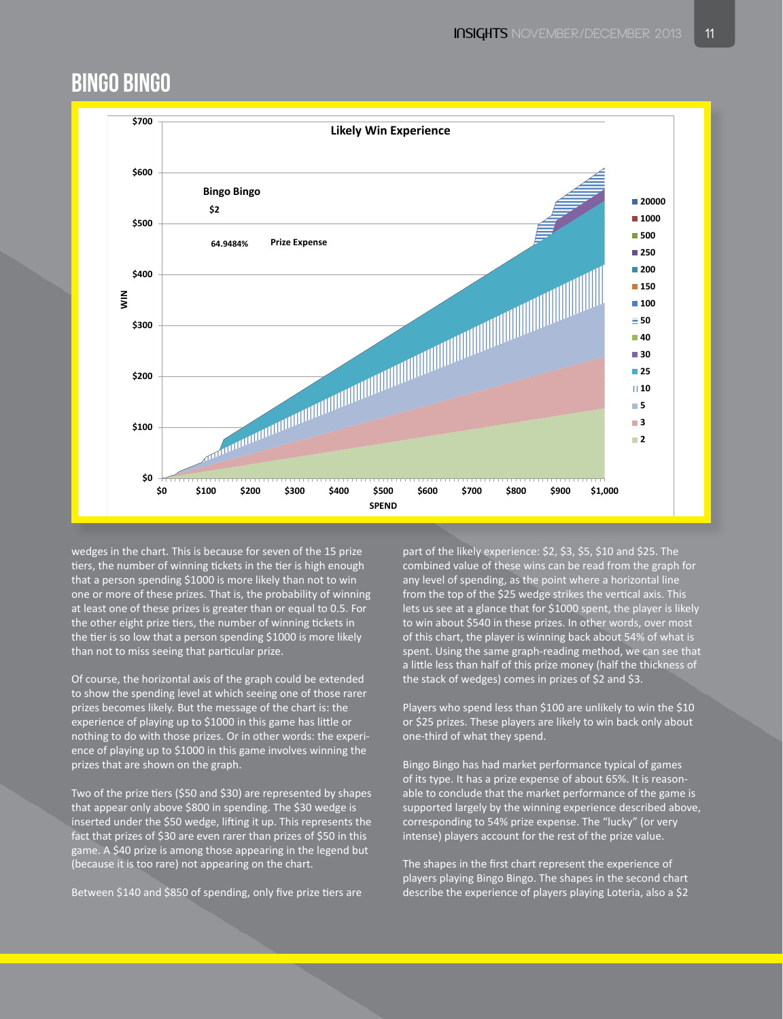#### Bingo Bingo



wedges in the chart. This is because for seven of the 15 prize tiers, the number of winning tickets in the tier is high enough that a person spending \$1000 is more likely than not to win one or more of these prizes. That is, the probability of winning at least one of these prizes is greater than or equal to 0.5. For the other eight prize tiers, the number of winning tickets in the tier is so low that a person spending \$1000 is more likely than not to miss seeing that particular prize.

Of course, the horizontal axis of the graph could be extended to show the spending level at which seeing one of those rarer prizes becomes likely. But the message of the chart is: the experience of playing up to \$1000 in this game has little or nothing to do with those prizes. Or in other words: the experience of playing up to \$1000 in this game involves winning the prizes that are shown on the graph.

Two of the prize tiers (\$50 and \$30) are represented by shapes that appear only above \$800 in spending. The \$30 wedge is inserted under the \$50 wedge, lifting it up. This represents the fact that prizes of \$30 are even rarer than prizes of \$50 in this game. A \$40 prize is among those appearing in the legend but (because it is too rare) not appearing on the chart.

Between \$140 and \$850 of spending, only five prize tiers are

part of the likely experience: \$2, \$3, \$5, \$10 and \$25. The combined value of these wins can be read from the graph for any level of spending, as the point where a horizontal line from the top of the \$25 wedge strikes the vertical axis. This lets us see at a glance that for \$1000 spent, the player is likely to win about \$540 in these prizes. In other words, over most of this chart, the player is winning back about 54% of what is spent. Using the same graph-reading method, we can set a little less than half of this prize money (half the thickness of the stack of wedges) comes in prizes of \$2 and \$3.

Players who spend less than \$100 are unlikely to win the \$10 or \$25 prizes. These players are likely to win back only about one-third of what they spend.

Bingo Bingo has had market performance typical of games of its type. It has a prize expense of about 65%. It is reasonable to conclude that the market performance of the game is supported largely by the winning experience described above, corresponding to 54% prize expense. The "lucky" (or very intense) players account for the rest of the prize value.

The shapes in the first chart represent the experience of players playing Bingo Bingo. The shapes in the second chart describe the experience of players playing Loteria, also a \$2